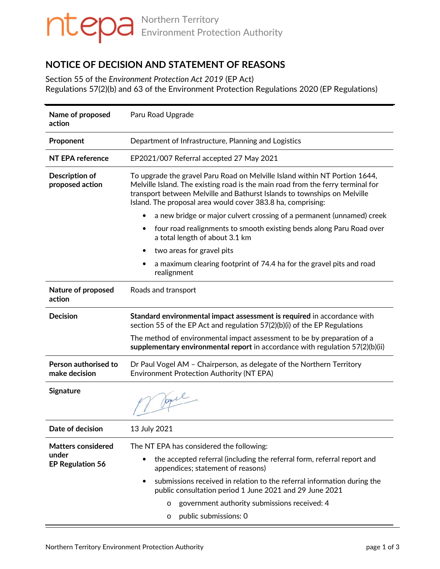# Northern Territory Environment Protection Authority

# **NOTICE OF DECISION AND STATEMENT OF REASONS**

Section 55 of the *Environment Protection Act 2019* (EP Act) Regulations 57(2)(b) and 63 of the Environment Protection Regulations 2020 (EP Regulations)

| Name of proposed<br>action            | Paru Road Upgrade                                                                                                                                                                                                                                                                                        |
|---------------------------------------|----------------------------------------------------------------------------------------------------------------------------------------------------------------------------------------------------------------------------------------------------------------------------------------------------------|
| Proponent                             | Department of Infrastructure, Planning and Logistics                                                                                                                                                                                                                                                     |
| <b>NT EPA reference</b>               | EP2021/007 Referral accepted 27 May 2021                                                                                                                                                                                                                                                                 |
| Description of<br>proposed action     | To upgrade the gravel Paru Road on Melville Island within NT Portion 1644,<br>Melville Island. The existing road is the main road from the ferry terminal for<br>transport between Melville and Bathurst Islands to townships on Melville<br>Island. The proposal area would cover 383.8 ha, comprising: |
|                                       | a new bridge or major culvert crossing of a permanent (unnamed) creek                                                                                                                                                                                                                                    |
|                                       | four road realignments to smooth existing bends along Paru Road over<br>$\bullet$<br>a total length of about 3.1 km                                                                                                                                                                                      |
|                                       | two areas for gravel pits<br>٠                                                                                                                                                                                                                                                                           |
|                                       | a maximum clearing footprint of 74.4 ha for the gravel pits and road<br>realignment                                                                                                                                                                                                                      |
| Nature of proposed<br>action          | Roads and transport                                                                                                                                                                                                                                                                                      |
| <b>Decision</b>                       | Standard environmental impact assessment is required in accordance with<br>section 55 of the EP Act and regulation 57(2)(b)(i) of the EP Regulations                                                                                                                                                     |
|                                       | The method of environmental impact assessment to be by preparation of a<br>supplementary environmental report in accordance with regulation $57(2)(b)(ii)$                                                                                                                                               |
| Person authorised to<br>make decision | Dr Paul Vogel AM - Chairperson, as delegate of the Northern Territory<br><b>Environment Protection Authority (NT EPA)</b>                                                                                                                                                                                |
| Signature                             | r Joyce                                                                                                                                                                                                                                                                                                  |
| Date of decision                      | 13 July 2021                                                                                                                                                                                                                                                                                             |
| <b>Matters considered</b>             | The NT EPA has considered the following:                                                                                                                                                                                                                                                                 |
| under<br><b>EP Regulation 56</b>      | the accepted referral (including the referral form, referral report and<br>$\bullet$<br>appendices; statement of reasons)                                                                                                                                                                                |
|                                       | submissions received in relation to the referral information during the<br>$\bullet$<br>public consultation period 1 June 2021 and 29 June 2021                                                                                                                                                          |
|                                       | government authority submissions received: 4<br>$\circ$                                                                                                                                                                                                                                                  |
|                                       | public submissions: 0<br>$\circ$                                                                                                                                                                                                                                                                         |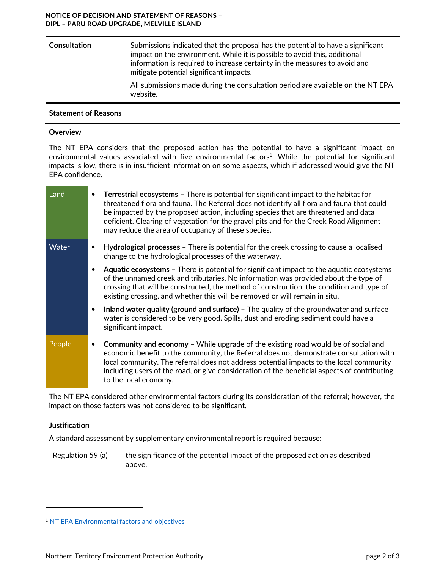#### **NOTICE OF DECISION AND STATEMENT OF REASONS – DIPL – PARU ROAD UPGRADE, MELVILLE ISLAND**

| <b>Consultation</b> | Submissions indicated that the proposal has the potential to have a significant<br>impact on the environment. While it is possible to avoid this, additional<br>information is required to increase certainty in the measures to avoid and<br>mitigate potential significant impacts. |
|---------------------|---------------------------------------------------------------------------------------------------------------------------------------------------------------------------------------------------------------------------------------------------------------------------------------|
|                     | All submissions made during the consultation period are available on the NT EPA<br>website.                                                                                                                                                                                           |

### **Statement of Reasons**

#### **Overview**

The NT EPA considers that the proposed action has the potential to have a significant impact on environmental values associated with five environmental factors<sup>1</sup>. While the potential for significant impacts is low, there is in insufficient information on some aspects, which if addressed would give the NT EPA confidence.

| Land   |           | Terrestrial ecosystems - There is potential for significant impact to the habitat for<br>threatened flora and fauna. The Referral does not identify all flora and fauna that could<br>be impacted by the proposed action, including species that are threatened and data<br>deficient. Clearing of vegetation for the gravel pits and for the Creek Road Alignment<br>may reduce the area of occupancy of these species. |
|--------|-----------|--------------------------------------------------------------------------------------------------------------------------------------------------------------------------------------------------------------------------------------------------------------------------------------------------------------------------------------------------------------------------------------------------------------------------|
| Water  |           | Hydrological processes – There is potential for the creek crossing to cause a localised<br>change to the hydrological processes of the waterway.                                                                                                                                                                                                                                                                         |
|        |           | <b>Aquatic ecosystems</b> - There is potential for significant impact to the aquatic ecosystems<br>of the unnamed creek and tributaries. No information was provided about the type of<br>crossing that will be constructed, the method of construction, the condition and type of<br>existing crossing, and whether this will be removed or will remain in situ.                                                        |
|        | $\bullet$ | Inland water quality (ground and surface) - The quality of the groundwater and surface<br>water is considered to be very good. Spills, dust and eroding sediment could have a<br>significant impact.                                                                                                                                                                                                                     |
| People |           | <b>Community and economy</b> – While upgrade of the existing road would be of social and<br>economic benefit to the community, the Referral does not demonstrate consultation with<br>local community. The referral does not address potential impacts to the local community<br>including users of the road, or give consideration of the beneficial aspects of contributing<br>to the local economy.                   |

The NT EPA considered other environmental factors during its consideration of the referral; however, the impact on those factors was not considered to be significant.

#### **Justification**

 $\overline{a}$ 

A standard assessment by supplementary environmental report is required because:

Regulation 59 (a) the significance of the potential impact of the proposed action as described above.

<sup>1</sup> NT EPA Environmental factors and objectives